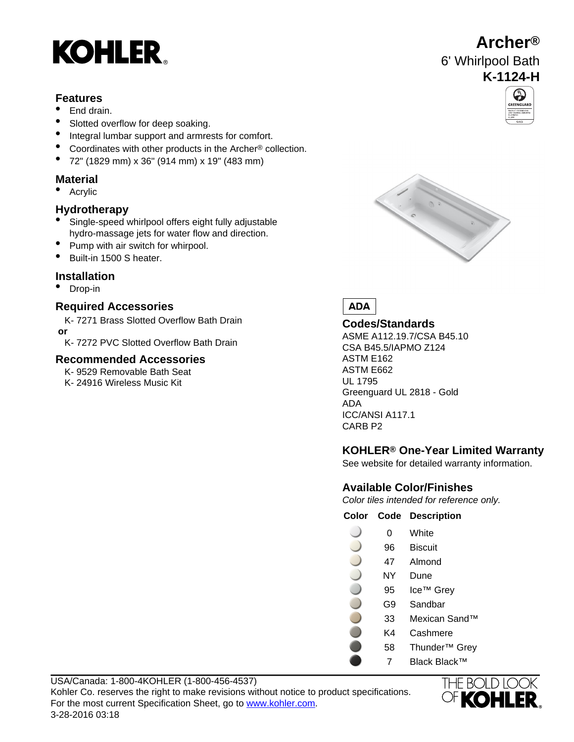# **KOHLER**

#### **Features**

- End drain.
- Slotted overflow for deep soaking.
- Integral lumbar support and armrests for comfort.
- Coordinates with other products in the Archer® collection.
- 72" (1829 mm) x 36" (914 mm) x 19" (483 mm)

### **Material**

• Acrylic

#### **Hydrotherapy**

- Single-speed whirlpool offers eight fully adjustable hydro-massage jets for water flow and direction.
- Pump with air switch for whirpool.
- Built-in 1500 S heater.

#### **Installation**

• Drop-in

#### **Required Accessories**

K- 7271 Brass Slotted Overflow Bath Drain  **or**

K- 7272 PVC Slotted Overflow Bath Drain

#### **Recommended Accessories**

K- 9529 Removable Bath Seat

K- 24916 Wireless Music Kit UL 1795







#### **Codes/Standards**

ASME A112.19.7/CSA B45.10 CSA B45.5/IAPMO Z124 ASTM E162 ASTM E662 Greenguard UL 2818 - Gold ADA ICC/ANSI A117.1 CARB P2

### **KOHLER® One-Year Limited Warranty**

See website for detailed warranty information.

### **Available Color/Finishes**

Color tiles intended for reference only.

**Color Code Description**

| 0  | White         |
|----|---------------|
| 96 | Biscuit       |
| 47 | Almond        |
| NY | Dune          |
| 95 | Ice™ Grey     |
| G9 | Sandbar       |
| 33 | Mexican Sand™ |
| K4 | Cashmere      |

- 58 Thunder™ Grey
- 7 Black Black™



## **Archer®** 6' Whirlpool Bath **K-1124-H**